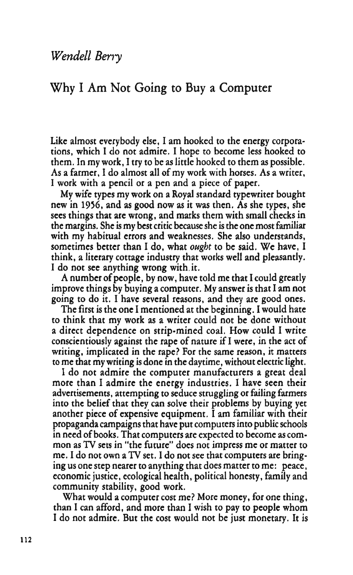### Why I Am Not Going to Buy a Computer

Like almost everybody else, I am hooked to the energy corporations, which I do not admire. I hope to become less hooked to them. In my work, Itry to be as little hooked to them as possible. As a farmer, I do almost all of my work with horses. As a writer, I work with a pencil or a pen and a piece of paper.

My wife types my work on a Royal standard typewriter bought new in 1956, and as good now as it was then. As she types, she sees things that are wrong, and marks them with small checks in the margins. She is my best critic because she is the one most familiar with my habitual errors and weaknesses. She also understands, sometimes better than I do, what *ought* to be said. We have, I think, a literary cottage industry that works well and pleasantly. I do not see anything wrong with.it.

A number of people, by now, have told me that I could greatly improve things by buying a computer. My answer is that I am not going to do it. I have several reasons, and they are good ones.

The first is the one I mentioned at the beginning. I would hate to think that my work as a writer could not be done without a direct dependence on strip-mined coal. How could I write conscientiously against the rape of nature ifI were, in the act of writing, implicated in the rape? For the same reason, it matters to me that mywriting is done in the daytime, without electric light.

I do not admire the computer manufacturers a great deal more than I admire the energy industries. I have seen their advertisements, attempting to seduce struggling or failing farmers into the belief that they can solve their problems by buying yet another piece of expensive equipment. I am familiar with their propaganda campaignsthat have put computersinto public schools in need of books. That computers are expected to become as common as TV sets in "the future" does not impress me or matter to me. I do not own a TV set. I do not see that computers are bringing us one step nearer to anything that does matter to me: peace, economic justice, ecological health, political honesty, family and community stability, good work.

What would a computer cost me? More money, for one thing, than I can afford, and more than I wish to pay to people whom I do not admire. But the cost would not be just monetary. It is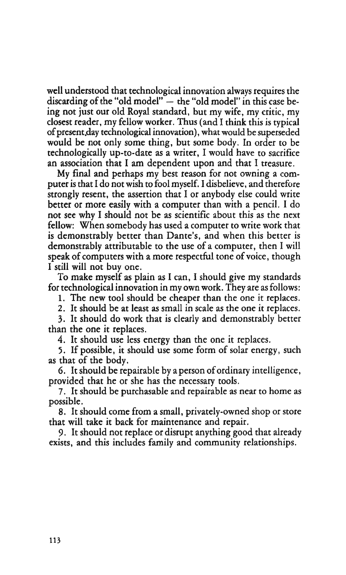well understood that technological innovation always requires the discarding of the "old model"  $-$  the "old model" in this case being not just our old Royal standard, but my wife, my critic, my closest reader, my fellow worker. Thus (and I think this is typical of present, day technological innovation), what would be superseded would be not only some thing, but some body. In order to be technologically up-to-date as a writer, I would have to sacrifice an association that I am dependent upon and that I treasure.

My final and perhaps my best reason for not owning a computer is that I do not wish to fool myself. I disbelieve, and therefore strongly resent, the assertion that I or anybody else could write better or more easily with a computer than with a pencil. I do not see why I should not be as scientific about this as the next fellow: When somebody has used a computer to write work that is demonstrably better than Dante's, and when this better is demonstrably attributable to the use of a computer, then I will speak of computers with a more respectful tone of voice, though I still will not buy one.

To make myself as plain as I can, I should give my standards for technological innovation in my own work. They are asfollows:

1. The new tool should be cheaper than the one it replaces.

2. It should be at least as small in scale as the one it replaces.

3. It should do work that is clearly and demonstrably better than the one it replaces.

4. It should use less energy than the one it replaces.

5. If possible, it should use some form of solar energy, such as that of the body.

6. It should be repairable by a person of ordinary intelligence, provided that he or she has the necessary tools.

7. It should be purchasable and repairable as near to home as possible.

8. It should come from a small, privately-owned shop or store that will take it back for maintenance and repair.

9. It should not replace or disrupt anything good that already exists, and this includes family and community relationships.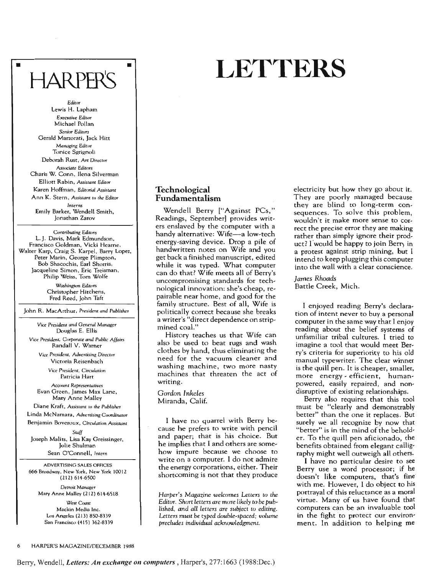# **HARPFR'S**

•

#### Editor Lewis H. Lapham **Executive Editor** Michael Pollan *Senior Edic,,,.,* Gerald Marzorati, Jack Hitt Managing Editor **Tonice Sgrignoli** Deborah Rust, Arc *Director* Associace *Ediwrs* Charis W. Conn, Ilena Silverman Elliott Rabin, *Assistant Editor* Karen Hoffman, *Ediwrial* Assistanc Ann K. Stern, *Assiscant w the* Edicor **Interns**

Emily Barker, Wendell Smith, Jonathan Zarov

Contribucing *Ediwrs* L. J. Davis, Mark Edmundson, Francisco Goldman, Vicki Hearne, Walter Karp. Craig S. Karpel, Barry Lopez, Peter Marin, George Plimpton, Bob Shacochis, Earl Shorris, Jacqueline Simon, Eric Trcisman, Philip Weiss, Tom Wolfe

> **Washington Editors** Christopher Hitchens, Fred Reed, John Taft

John R. MacArthur, Presidenc *and Publisher*

*Vice* Presidenc *and General Manager* Douglas E. Ellis

*Vice President. Corporace and Public Affair..* Randall V. Warner

*Vice President, Advertising Director* Victoria Reisenbach

> $V$ ice *President*, Circulation Patricia Hart

**Account Representatives** Evan Green, James Max Lane, Mary Anne Malley

Diane Kraft, Assistant to the Publisher

Linda McNamara, Adventising Conndinator Benjamin Boveroux, *Circulation Assistant* 

Staff

Joseph Malits, Lisa Kay Greissinger, Jolie Shulman Sean O'Connell, Intern

ADVERTISING SALES OFFICES 666 Bruadway, New·York, New York 10012 (212) 614-6500

Detmic *Manager* Mary Anne Malley (212) 614-6518

*West Coast* Mackin Media Inc. Los Angeles (213) 850-8139 San Francisco (415) 362-8339

#### **Technological Fundamentalism**

Wendell Berry ["Against PCs," Readings, September] provides writers enslaved by the computer with a handy alternative: Wife-a low-tech energy-saving device. Drop a pile of handwritten notes on Wife and you get back a finished manuscript, edited while it was typed. What computer can do that? Wife meets all of Berry's uncompromising standards for technological innovation: she's cheap, repairable near home, and good for the family structure. Best of all, Wife is politically correct because she breaks a writer's "direct dependence on stripmined coal.'

History teaches us that Wife can also be used to beat rugs and wash clothes by hand. thus eliminating the need for the vacuum cleaner and washing machine, two more nasty machines that threaten the act of writing.

Gordon *Inkeles* Miranda, Calif.

I have no quarrel with Berry because he prefers to write with pencil and paper; that is his choice. But he implies that I and others are somehow impure because we choose to write on a computer. I do not admire the energy corporations, either. Their shortcoming is not that they produce

*Harper's Magazine* welcomes Letters to *the* Editor. Short letters are more likely to be pub*lished, and all letters are subject* to editing. *Letters* must *be tYl>ed double-spaced; volume precludes individual acknowledgment.*

electricity but how they go about it. They are poorly managed because they are blind to long-term consequences. To solve this problem, wouldn't it make more sense to correct the precise error they are making rather than simply ignore their product? I would be happy to join Berry in a protest against strip mining, but I intend to keep plugging this computer into the wall with a clear conscience.

*James Rhoads* Battle Creek, Mich.

• **LETTERS**

I enjoyed reading Berry's declaration of intent never to buy a personal computer in the same way that I enjoy reading about the belief systems of unfamiliar tribal cultures. I tried to imagine a tool that would meet Berry's criteria for superiority to his old manual typewriter. The clear winner is the quill pen. It is cheaper, smaller, more energy - efficient, humanpowered, easily repaired, and nondisruptive of existing relationships.

Berry also requires that this tool must be "clearly and demonstrably better" than the one it replaces. But surely we all recognize by now that "better" is in the mind of the beholder. To the quill pen aficionado, the benefits obtained from elegant cailigraphy might well outweigh all others.

I have no particular desire to see Berry use a word processor; if he doesn't like computers, that's fine with me. However, I do object to his portrayal of this reluctance as a moral virtue. Many of us have found that computers can be an invaluable tool in the fight to protect our environment. In addition to helping me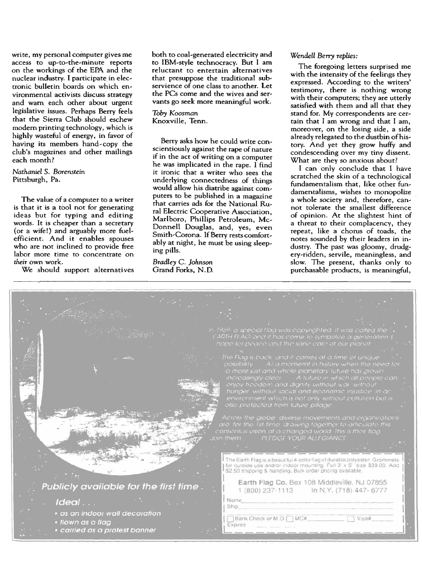write, my personal computer gives me access to up-to-the-minute reports on the workings of the EPA and the nuclear industry. I participate in electronic bulletin boards on which environmental activists discuss strategy and warn each other about urgent legislative issues. Perhaps Berry feels that the Sierra Club should eschew modem printing technology, which is highly wasteful of energy, in favor of having its members hand-copy the club's magazines and other mailings each month?

#### *Nathaniel S. Borenstein* Pittsburgh, Pa.

The value of a computer to a writer is that it is a tool not for generating ideas but for typing and editing words. It is cheaper than a secretary (or a wife!) and arguably more fuelefficient. And it enables spouses who are not inclined to provide free labor more time to concentrate on their own work.

We should support alternatives

both to coal-generated electricity and to IBM-style technocracy. But I am reluctant to entertain alternatives that presuppose the traditional subservience of one class to another. Let the PCS come and the wives and servants go seek more meaningful work.

*Toby Koosman* Knoxville, Tenn.

Berry asks how he could write conscientiously against the rape of nature if in the act of writing on a computer he was implicated in the rape. I find it ironic that a writer who sees the underlying connectedness of things would allow his diatribe against computers to be published in a magazine that carries ads for the National Rural Electric Cooperative Association, Marlboro, Phillips Petroleum, Mc-Donnell Douglas, and, yes, even Smith-Corona. If Berry rests comfortably at night, he must be using sleeping pills.

*Bmdley* C. *lohnson* Grand Forks, N. D.

#### *Wendell Berry Teplies:*

The foregoing letters surprised me with the intensity of the feelings they expressed. According to the writers' testimony, there is nothing wrong with their computers; they are utterly satisfied with them and all that they stand for. My correspondents are certain that I am wrong and that I am, moreover, on the losing side, a side already relegated to the dustbin ofhistory. And yet they grow huffy and condescending over my tiny dissent. What are they so anxious about?

I can only conclude that I have scratched the skin of a technological fundamentalism that, like other fundamentalisms, wishes to monopolize a whole society and, therefore, cannot tolerate the smallest difference of opinion. At the slightest hint of a threat to their complacency, they repeat, like a chorus of toads, the notes sounded by their leaders in industry. The past was gloomy, drudgery-ridden, servile, meaningless, and slow. The present, thanks only to purchasable products, is meaningful,

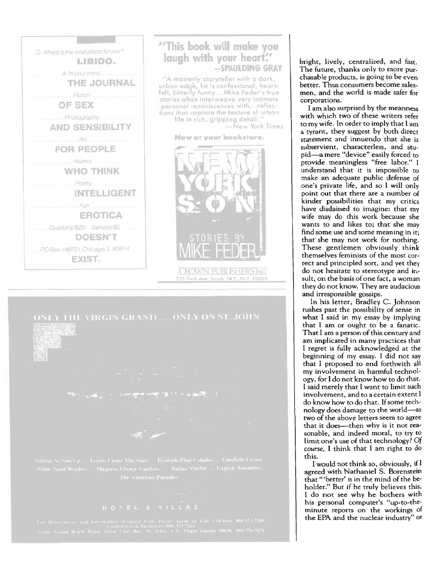



"A masterly storyteller with a dark, urban edge, he is confessional, heartfelt, bitterly funny ...Mike Feder's true stories often interweave very intimate personal reminiscences with...reflections that capture the texture of urban. life in rich, gripping detail."

**Now at your bookstore.**

New *York Times*



--------- 225 Pork Ave. South, N.Y., N.Y. 10003



bright, lively, centralized, and fast. The future, thanks only to more purchasable products, is going to be even better. Thus consumers become salesmen, and the world is made safer for corporations.

I am also surprised by the meanness with which two of these writers refer to my wife. In order to imply that I am a tyrant, they suggest by both direct statement and innuendo that she is subservient, characterless, and stupid-a mere "device" easily forced to provide meaningless "free labor." I understand that it is impossible to make an adequate public defense of one's private life, and so I will only point out that there are a number of kinder possibilities that my critics have disdained to imagine: that my wife may do this work because she wants to and likes to; that she may find some use and some meaning in it; that' she may not work for nothing. These gentlemen obviously think themselves feminists of the most correct and principled sort, and yet they do not hesitate to stereotype and ir, sult, on the basis of one fact, a woman they do not know. They are audacious and irresponsible gossips.

In his letter, Bradley C. Johnson rushes past the possibility of sense in what I said in my essay by implying that I am or ought to be a fanatic. That I am a person of this century and am implicated in many practices that I regret is fully acknowledged at the beginning of my essay. I did not say that I proposed to end forthwith all my involvement in harmful technology, for I do not know how to do that. I said merely that I want to limit such involvement, and to a certain extent I do know how to do that. If some technology does damage to the world-as two of the above letters seem to agree that it does-then why is it not reasonable, and indeed moral, to try to limit one's use of that technology? Of *course,* I think that I am right to do this.

I would not think so, obviously, ifl agreed with Nathaniel S. Borenstein that" 'better' is in the mind of the beholder." But if he truly believes this, I do not see why he bothers with his personal computer's "up-to-theminute reports on the workings of the EPA and the nuclear industry" or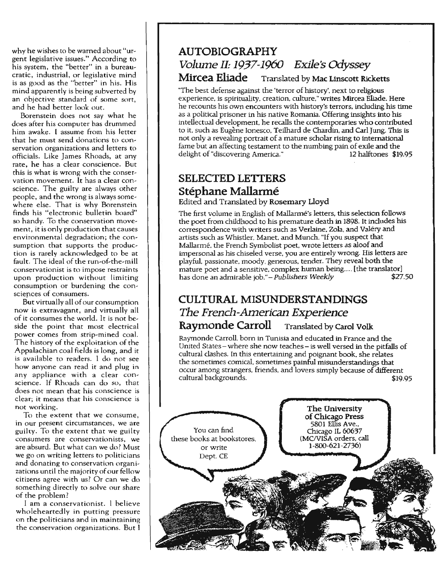why he wishes to be warned about "urgent legislative issues." According to his system, the "better" in a bureaucratic, industrial, or legislative mind is as good as the "better" in his. His mind apparently is being subverted by an objective standard of some sort, and he had better look out.

Borenstein does not say what he does after his computer has drummed him awake. I assume from his Jetter that he must send donations to conservation organizations and letters to officials. Like James Rhoads, at any rate, he has a clear conscience. But this is what is wrong with the conser, vation movement. It has a clear conscience. The guilty are always other people, and the wrong is always some, where else. That is why Borenstein finds his "electronic bulletin board" so handy. To the conservation movement, it is only production that causes environmental degradation; the consumption that supports the production is rarely acknowledged to be at fault. The ideal of the run-of-the-mill conservationist is to impose restraints upon production without limiting consumption or burdening the consciences of consumers.

But virtually all of our consumption now is extravagant, and virtually all of it consumes the world. It is not be, side the point that most electrical power comes from strip-mined coal. The history of the exploitation of the Appalachian coal fields is long, and it is available to readers. I do not see how anyone can read it and plug in any appliance with a clear conscience. If Rhoads can do so, that does not mean that his conscience is clear; it means that his conscience is not working.

To the extent that we consume, in our present circumstances, we are guilty. To the extent that we guilty consumers are conservationists, we are absurd. But what can we do? Must we go on writing letters to politicians and donating to conservation organizations until the majority of our fellow citizens agree with us? Or can we do something directly to solve our share of the problem?

I am a conservationist. I believe wholeheartedly in putting pressure on the politicians and in maintaining the conservation organizations. But I

### **AUTOBIOGRAPHY** *Volume II: 1937-1960 Exile's Odyssey* **Mircea Eliade** Translated by Mac Linscott Ricketts

"The best defense against the 'terror of history', next to religious experience, is spirituality, creation, culture," writes Mircea Eliade. Here he recounts his own encounters with history's terrors, including his time as a political prisoner in his native Romania. Offering insights into his intellectual development, he recalls the contemporaries who contributed to it, such as Eugène Ionesco, Teilhard de Chardin, and Carl Jung. This is not only a revealing portrait of a mature scholar rising to international fame but an affecting testament to the numbing pain of exile and the delight of "discovering America." 12 halftones \$19.95

### **SELECTED LEITERS Stephane** Mallarme

Edited and Translated by Rosemary lloyd

The first volume in English of Mallarmé's letters, this selection follows the poet from childhood to his premature death in 1898. It includes his correspondence with writers such as Verlaine. 20la. and Valery and artists such as Whistler. Manet. and Munch. "If you suspect that Mallarme, the French Symbolist poet, wrote letters as aloof and impersonal as his chiseled verse. you are entirely wrong. His letters are playful, passionate, moody, generous, tender. They reveal both the mature poet and a sensitive, complex human being.... [the translator] has done an admirable job," - *Publishers Weekly \$27.50*

### **CULTURAL MISUNDERSTANDINGS** *The French-American Experience* **Raymonde Carroll** Translated by Carol Volk

Raymonde carroll, born in Tunisia and educated in France and the United States-where she now teaches- is well versed in the pitfalls of cultural dashes. In this entertaining and poignant book. she relates the sometimes comical. sometimes painful misunderstandings that occur among strangers, friends. and lovers simply because of different cultural backgrounds.  $\sim$  \$19.95